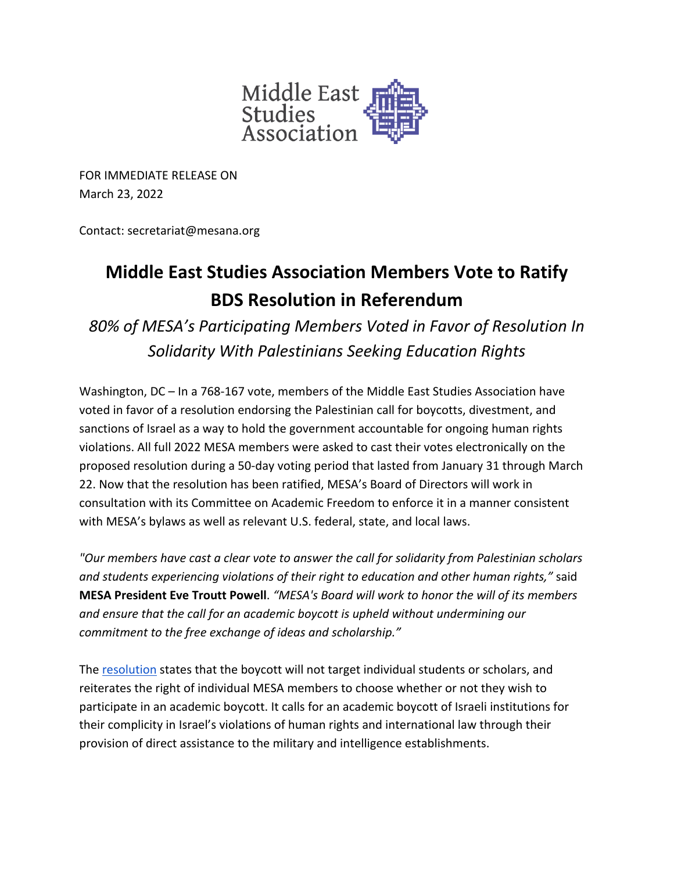

FOR IMMEDIATE RELEASE ON March 23, 2022

Contact: secretariat@mesana.org

## **Middle East Studies Association Members Vote to Ratify BDS Resolution in Referendum**

*80% of MESA's Participating Members Voted in Favor of Resolution In Solidarity With Palestinians Seeking Education Rights*

Washington, DC – In a 768-167 vote, members of the Middle East Studies Association have voted in favor of a resolution endorsing the Palestinian call for boycotts, divestment, and sanctions of Israel as a way to hold the government accountable for ongoing human rights violations. All full 2022 MESA members were asked to cast their votes electronically on the proposed resolution during a 50-day voting period that lasted from January 31 through March 22. Now that the resolution has been ratified, MESA's Board of Directors will work in consultation with its Committee on Academic Freedom to enforce it in a manner consistent with MESA's bylaws as well as relevant U.S. federal, state, and local laws.

*"Our members have cast a clear vote to answer the call for solidarity from Palestinian scholars and students experiencing violations of their right to education and other human rights,"* said **MESA President Eve Troutt Powell**. *"MESA's Board will work to honor the will of its members and ensure that the call for an academic boycott is upheld without undermining our commitment to the free exchange of ideas and scholarship."*

The resolution states that the boycott will not target individual students or scholars, and reiterates the right of individual MESA members to choose whether or not they wish to participate in an academic boycott. It calls for an academic boycott of Israeli institutions for their complicity in Israel's violations of human rights and international law through their provision of direct assistance to the military and intelligence establishments.